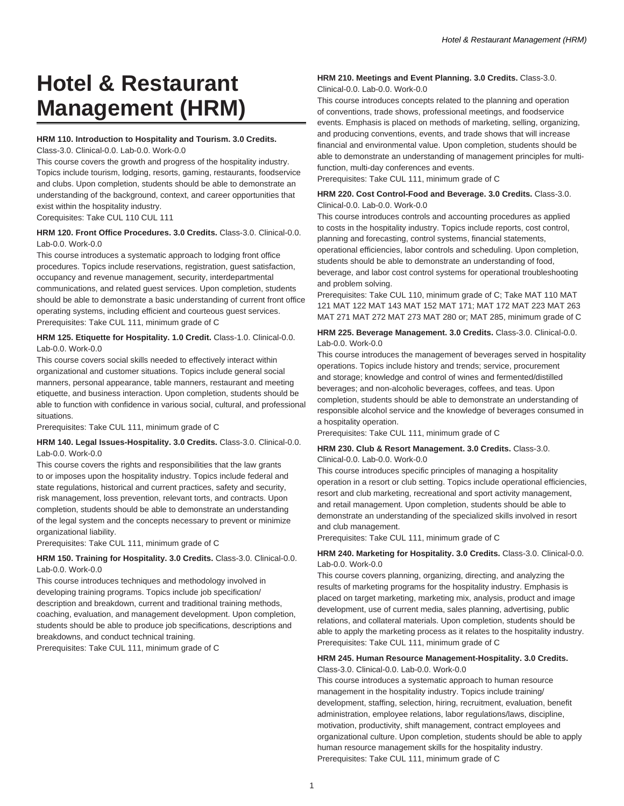# **Hotel & Restaurant Management (HRM)**

#### **HRM 110. Introduction to Hospitality and Tourism. 3.0 Credits.**

Class-3.0. Clinical-0.0. Lab-0.0. Work-0.0

This course covers the growth and progress of the hospitality industry. Topics include tourism, lodging, resorts, gaming, restaurants, foodservice and clubs. Upon completion, students should be able to demonstrate an understanding of the background, context, and career opportunities that exist within the hospitality industry.

Corequisites: Take CUL 110 CUL 111

#### **HRM 120. Front Office Procedures. 3.0 Credits.** Class-3.0. Clinical-0.0. Lab-0.0. Work-0.0.

This course introduces a systematic approach to lodging front office procedures. Topics include reservations, registration, guest satisfaction, occupancy and revenue management, security, interdepartmental communications, and related guest services. Upon completion, students should be able to demonstrate a basic understanding of current front office operating systems, including efficient and courteous guest services. Prerequisites: Take CUL 111, minimum grade of C

#### **HRM 125. Etiquette for Hospitality. 1.0 Credit.** Class-1.0. Clinical-0.0. Lab-0.0. Work-0.0

This course covers social skills needed to effectively interact within organizational and customer situations. Topics include general social manners, personal appearance, table manners, restaurant and meeting etiquette, and business interaction. Upon completion, students should be able to function with confidence in various social, cultural, and professional situations.

Prerequisites: Take CUL 111, minimum grade of C

#### **HRM 140. Legal Issues-Hospitality. 3.0 Credits.** Class-3.0. Clinical-0.0. Lab-0.0. Work-0.0

This course covers the rights and responsibilities that the law grants to or imposes upon the hospitality industry. Topics include federal and state regulations, historical and current practices, safety and security, risk management, loss prevention, relevant torts, and contracts. Upon completion, students should be able to demonstrate an understanding of the legal system and the concepts necessary to prevent or minimize organizational liability.

Prerequisites: Take CUL 111, minimum grade of C

#### **HRM 150. Training for Hospitality. 3.0 Credits.** Class-3.0. Clinical-0.0. Lab-0.0. Work-0.0

This course introduces techniques and methodology involved in developing training programs. Topics include job specification/ description and breakdown, current and traditional training methods, coaching, evaluation, and management development. Upon completion, students should be able to produce job specifications, descriptions and breakdowns, and conduct technical training.

Prerequisites: Take CUL 111, minimum grade of C

## **HRM 210. Meetings and Event Planning. 3.0 Credits.** Class-3.0.

Clinical-0.0. Lab-0.0. Work-0.0

This course introduces concepts related to the planning and operation of conventions, trade shows, professional meetings, and foodservice events. Emphasis is placed on methods of marketing, selling, organizing, and producing conventions, events, and trade shows that will increase financial and environmental value. Upon completion, students should be able to demonstrate an understanding of management principles for multifunction, multi-day conferences and events.

Prerequisites: Take CUL 111, minimum grade of C

#### **HRM 220. Cost Control-Food and Beverage. 3.0 Credits.** Class-3.0. Clinical-0.0. Lab-0.0. Work-0.0

This course introduces controls and accounting procedures as applied to costs in the hospitality industry. Topics include reports, cost control, planning and forecasting, control systems, financial statements, operational efficiencies, labor controls and scheduling. Upon completion, students should be able to demonstrate an understanding of food, beverage, and labor cost control systems for operational troubleshooting and problem solving.

Prerequisites: Take CUL 110, minimum grade of C; Take MAT 110 MAT 121 MAT 122 MAT 143 MAT 152 MAT 171; MAT 172 MAT 223 MAT 263 MAT 271 MAT 272 MAT 273 MAT 280 or; MAT 285, minimum grade of C

#### **HRM 225. Beverage Management. 3.0 Credits.** Class-3.0. Clinical-0.0. Lab-0.0. Work-0.0

This course introduces the management of beverages served in hospitality operations. Topics include history and trends; service, procurement and storage; knowledge and control of wines and fermented/distilled beverages; and non-alcoholic beverages, coffees, and teas. Upon completion, students should be able to demonstrate an understanding of responsible alcohol service and the knowledge of beverages consumed in a hospitality operation.

Prerequisites: Take CUL 111, minimum grade of C

## **HRM 230. Club & Resort Management. 3.0 Credits.** Class-3.0.

Clinical-0.0. Lab-0.0. Work-0.0

This course introduces specific principles of managing a hospitality operation in a resort or club setting. Topics include operational efficiencies, resort and club marketing, recreational and sport activity management, and retail management. Upon completion, students should be able to demonstrate an understanding of the specialized skills involved in resort and club management.

Prerequisites: Take CUL 111, minimum grade of C

#### **HRM 240. Marketing for Hospitality. 3.0 Credits.** Class-3.0. Clinical-0.0. Lab-0.0. Work-0.0

This course covers planning, organizing, directing, and analyzing the results of marketing programs for the hospitality industry. Emphasis is placed on target marketing, marketing mix, analysis, product and image development, use of current media, sales planning, advertising, public relations, and collateral materials. Upon completion, students should be able to apply the marketing process as it relates to the hospitality industry. Prerequisites: Take CUL 111, minimum grade of C

## **HRM 245. Human Resource Management-Hospitality. 3.0 Credits.**

Class-3.0. Clinical-0.0. Lab-0.0. Work-0.0

This course introduces a systematic approach to human resource management in the hospitality industry. Topics include training/ development, staffing, selection, hiring, recruitment, evaluation, benefit administration, employee relations, labor regulations/laws, discipline, motivation, productivity, shift management, contract employees and organizational culture. Upon completion, students should be able to apply human resource management skills for the hospitality industry. Prerequisites: Take CUL 111, minimum grade of C